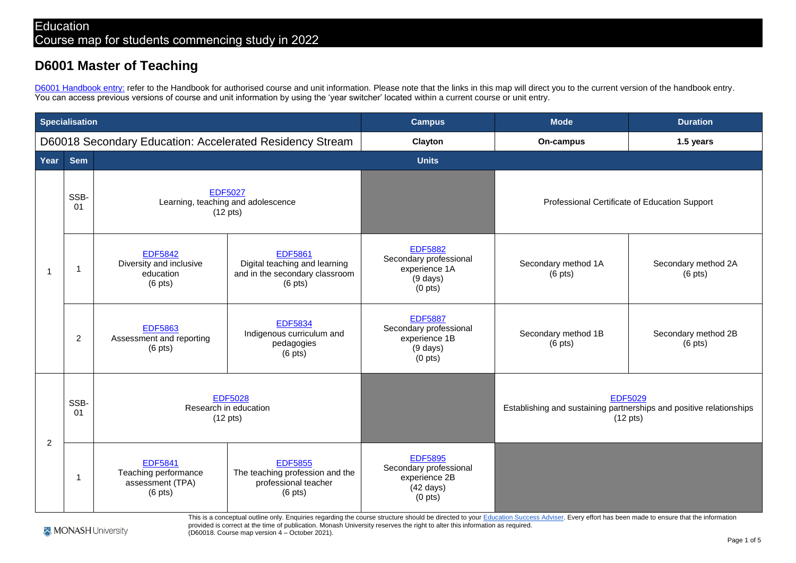## **D6001 Master of Teaching**

[D6001 Handbook entry:](https://handbook.monash.edu/current/courses/d6001) refer to the Handbook for authorised course and unit information. Please note that the links in this map will direct you to the current version of the handbook entry. You can access previous versions of course and unit information by using the 'year switcher' located within a current course or unit entry.

| <b>Specialisation</b>                                    |                |                                                                             |                                                                                                        | <b>Campus</b>                                                                                           | <b>Mode</b>                                                                                                 | <b>Duration</b>                          |
|----------------------------------------------------------|----------------|-----------------------------------------------------------------------------|--------------------------------------------------------------------------------------------------------|---------------------------------------------------------------------------------------------------------|-------------------------------------------------------------------------------------------------------------|------------------------------------------|
| D60018 Secondary Education: Accelerated Residency Stream |                |                                                                             |                                                                                                        | Clayton                                                                                                 | On-campus                                                                                                   | 1.5 years                                |
| Year                                                     | <b>Sem</b>     |                                                                             |                                                                                                        | <b>Units</b>                                                                                            |                                                                                                             |                                          |
| $\overline{\phantom{a}}$                                 | SSB-<br>01     | <b>EDF5027</b><br>Learning, teaching and adolescence<br>$(12 \text{ pts})$  |                                                                                                        |                                                                                                         | Professional Certificate of Education Support                                                               |                                          |
|                                                          | 1              | <b>EDF5842</b><br>Diversity and inclusive<br>education<br>$(6 \text{ pts})$ | <b>EDF5861</b><br>Digital teaching and learning<br>and in the secondary classroom<br>$(6 \text{ pts})$ | <b>EDF5882</b><br>Secondary professional<br>experience 1A<br>$(9$ days)<br>(0 <sub>pts</sub> )          | Secondary method 1A<br>$(6$ pts)                                                                            | Secondary method 2A<br>$(6 \text{ pts})$ |
|                                                          | $\overline{c}$ | <b>EDF5863</b><br>Assessment and reporting<br>$(6$ pts)                     | <b>EDF5834</b><br>Indigenous curriculum and<br>pedagogies<br>$(6 \text{ pts})$                         | <b>EDF5887</b><br>Secondary professional<br>experience 1B<br>$(9 \text{ days})$<br>(0 <sub>pts</sub> )  | Secondary method 1B<br>$(6$ pts)                                                                            | Secondary method 2B<br>$(6$ pts)         |
| $\overline{2}$                                           | SSB-<br>01     | <b>EDF5028</b><br>Research in education<br>$(12 \text{ pts})$               |                                                                                                        |                                                                                                         | <b>EDF5029</b><br>Establishing and sustaining partnerships and positive relationships<br>$(12 \text{ pts})$ |                                          |
|                                                          | 1              | <b>EDF5841</b><br>Teaching performance<br>assessment (TPA)<br>$(6$ pts)     | <b>EDF5855</b><br>The teaching profession and the<br>professional teacher<br>$(6$ pts)                 | <b>EDF5895</b><br>Secondary professional<br>experience 2B<br>$(42 \text{ days})$<br>(0 <sub>pts</sub> ) |                                                                                                             |                                          |

This is a conceptual outline only. Enquiries regarding the course structure should be directed to you[r Education Success Adviser. E](https://juvo.monash.edu/student)very effort has been made to ensure that the information provided is correct at the time of publication. Monash University reserves the right to alter this information as required.